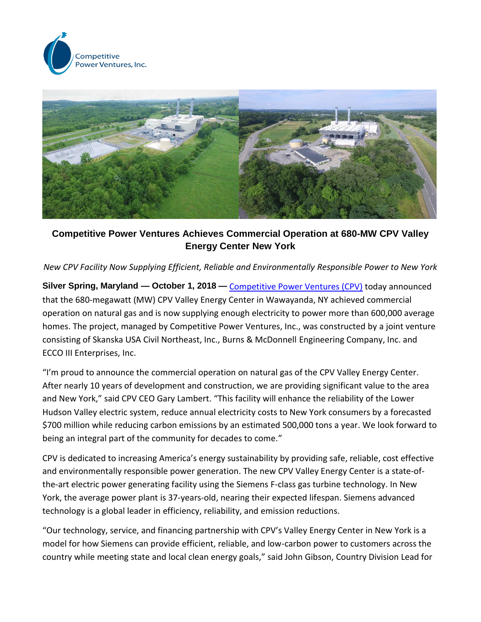



**Competitive Power Ventures Achieves Commercial Operation at 680-MW CPV Valley Energy Center New York**

*New CPV Facility Now Supplying Efficient, Reliable and Environmentally Responsible Power to New York* 

**Silver Spring, Maryland — October 1, 2018 —** [Competitive Power Ventures \(CPV\)](http://cpv.com/) today announced that the 680-megawatt (MW) CPV Valley Energy Center in Wawayanda, NY achieved commercial operation on natural gas and is now supplying enough electricity to power more than 600,000 average homes. The project, managed by Competitive Power Ventures, Inc., was constructed by a joint venture consisting of Skanska USA Civil Northeast, Inc., Burns & McDonnell Engineering Company, Inc. and ECCO III Enterprises, Inc.

"I'm proud to announce the commercial operation on natural gas of the CPV Valley Energy Center. After nearly 10 years of development and construction, we are providing significant value to the area and New York," said CPV CEO Gary Lambert. "This facility will enhance the reliability of the Lower Hudson Valley electric system, reduce annual electricity costs to New York consumers by a forecasted \$700 million while reducing carbon emissions by an estimated 500,000 tons a year. We look forward to being an integral part of the community for decades to come."

CPV is dedicated to increasing America's energy sustainability by providing safe, reliable, cost effective and environmentally responsible power generation. The new CPV Valley Energy Center is a state-ofthe-art electric power generating facility using the Siemens F-class gas turbine technology. In New York, the average power plant is 37-years-old, nearing their expected lifespan. Siemens advanced technology is a global leader in efficiency, reliability, and emission reductions.

"Our technology, service, and financing partnership with CPV's Valley Energy Center in New York is a model for how Siemens can provide efficient, reliable, and low-carbon power to customers across the country while meeting state and local clean energy goals," said John Gibson, Country Division Lead for